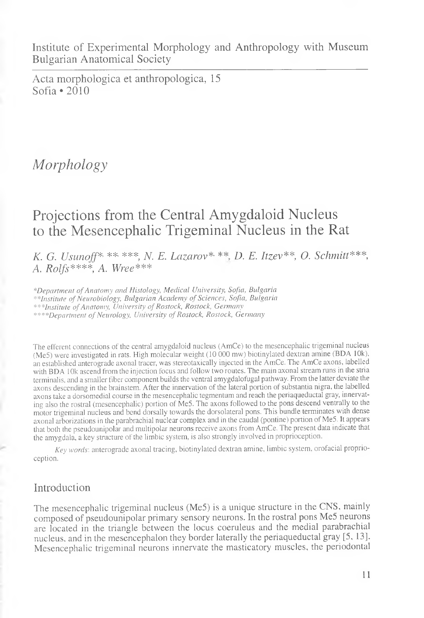Institute of Experimental Morphology and Anthropology with Museum Bulgarian Anatomical Society

Acta morphologica et anthropologica, 15 Sofia \*2010

# *Morphology*

# Projections from the Central Amygdaloid Nucleus to the Mesencephalic Trigeminal Nucleus in the Rat

*K. G. Usunoff*\*■ \*\*- \*\*\*, *N. E. Lazarov\** \*\* *I). E. Itzev\*\*, O. Schmitt\*\*\*, A. Rolfs\*\*\*\*, A. Wree\*\*\**

*\*Department of Anatomy and Histology, Medical University, Sofia, Bulgaria \*\*Institute of Neurobiology, Bulgarian Academy of Sciences, Sofia, Bulgaria \*\*\*Institute of Anatomy, University of Rostock, Rostock, Germany \*\*\*\*Department of Neurology, University of Rostock, Rostock, Germany*

The efferent connections of the central amygdaloid nucleus (AmCe) to the mesencephalic trigeminal nucleus (Me5) were investigated in rats. High molecular weight (10 000 mw) biotinylated dextran amine (BDA 10k), an established anterograde axonal tracer, was stereotaxically injected in the AmCe. The AmCe axons, labelled with BDA 10k ascend from the injection focus and follow two routes. The main axonal stream runs in the stria terminalis, and a smaller fiber component builds the ventral amygdalofugal pathway. From the latter deviate the axons descending in the brainstem. After the innervation of the lateral portion of substantia nigra, the labelled axons take a dorsomedial course in the mesencephalic tegmentum and reach the periaqueductal gray, innervating also the rostral (mesencephalic) portion of Me5. The axons followed to the pons descend ventrally to the motor trigeminal nucleus and bend dorsally towards the dorsolateral pons. This bundle terminates with dense axonal arborizations in the parabrachial nuclear complex and in the caudal (pontine) portion of Me5. It appears that both the pseudounipolar and multipolar neurons receive axons from AmCe. The present data indicate that the amygdala, a key structure of the limbic system, is also strongly involved in proprioception.

*Key words:* anterograde axonal tracing, biotinylated dextran amine, limbic system, orofacial proprioception.

## Introduction

The mesencephalic trigeminal nucleus (Me5) is a unique structure in the CNS, mainly composed of pseudounipolar primary sensory neurons. In the rostral pons Me5 neurons are located in the triangle between the locus coeruleus and the medial parabrachial nucleus, and in the mesencephalon they border laterally the periaqueductal gray [5, 13]. Mesencephalic trigeminal neurons innervate the masticatory muscles, the periodontal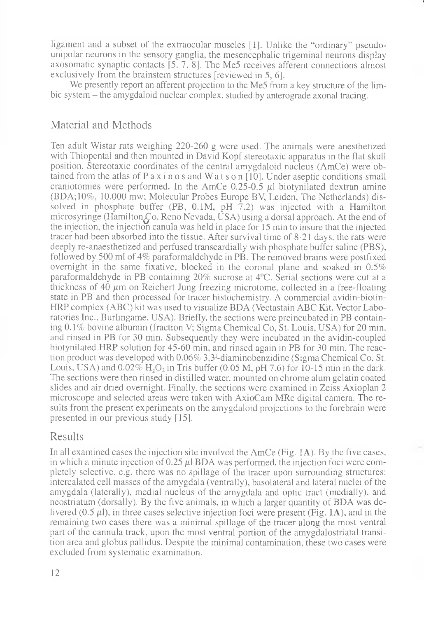ligament and a subset of the extraocular muscles [1]. Unlike the "ordinary" pseudounipolar neurons in the sensory ganglia, the mesencephalic trigeminal neurons display axosomatic synaptic contacts [5. 7, 8]. The Me5 receives afferent connections almost exclusively from the brainstem structures [reviewed in 5, 6].

J

We presently report an afferent projection to the Me5 from a key structure of the limbic system – the amygdaloid nuclear complex, studied by anterograde axonal tracing.

## Material and Methods

Ten adult Wistar rats weighing 220-260 g were used. The animals were anesthetized with Thiopental and then mounted in David Kopf stereotaxic apparatus in the flat skull position. Stereotaxic coordinates of the central amygdaloid nucleus (AmCe) were obtained from the atlas of P a x i n o s and W a t s o n  $[10]$ . Under aseptic conditions small craniotomies were performed. In the AmCe  $0.25$ -0.5  $\mu$ l biotynilated dextran amine (BDA;10%, 10.000 mw; Molecular Probes Europe BV, Leiden, The Netherlands) dissolved in phosphate buffer (PB,  $0.1M$ , pH  $7.2$ ) was injected with a Hamilton microsyringe (Hamilton $\overline{\mathcal{L}}$ o, Reno Nevada, USA) using a dorsal approach. At the end of the injection, the injection canula was held in place for 15 min to insure that the injected tracer had been absorbed into the tissue. After survival time of 8-21 days, the rats were deeply re-anaesthetized and perfused transcardially with phosphate buffer saline (PBS), followed by 500 ml of 4% paraformaldehyde in PB. The removed brains were postfixed overnight in the same fixative, blocked in the coronal plane and soaked in 0.5% paraformaldehyde in PB containing 20% sucrose at 4°C. Serial sections were cut at a thickness of 40  $\mu$ m on Reichert Jung freezing microtome, collected in a free-floating state in PB and then processed for tracer histochemistry. A commercial avidin-biotin-HRP complex (ABC) kit was used to visualize BDA (Vectastain ABC Kit, Vector Laboratories Inc., Burlingame, USA). Briefly, the sections were preincubated in PB containing 0.1 % bovine albumin (fraction V; Sigma Chemical Co, St. Louis, USA) for 20 mm, and rinsed in PB for 30 min. Subsequently they were incubated in the avidin-coupled biotynilated HRP solution for 45-60 min, and rinsed again in PB for 30 min. The reaction product was developed with 0.06% 3,3'-diaminobenzidine (Sigma Chemical Co, St. Louis, USA) and  $0.02\%$  H,O<sub>2</sub> in Tris buffer (0.05 M, pH 7.6) for 10-15 min in the dark. The sections were then rinsed in distilled water, mounted on chrome alum gelatin coated slides and air dried overnight. Finally, the sections were examined in Zeiss Axioplan 2 microscope and selected areas were taken with AxioCam MRc digital camera. The results from the present experiments on the amygdaloid projections to the forebrain were presented in our previous study [15].

### Results

In all examined cases the injection site involved the  $Amc \in (Fig. 1A)$ . By the five cases, in which a minute injection of 0.25  $\mu$  BDA was performed, the injection foci were completely selective, e.g. there was no spillage of the tracer upon surrounding structures: intercalated cell masses of the amygdala (ventrally), basolateral and lateral nuclei of the amygdala (laterally), medial nucleus of the amygdala and optic tract (medially), and neostriatum (dorsally). By the five animals, in which a larger quantity of BDA was delivered  $(0.5 \mu l)$ , in three cases selective injection foci were present (Fig. 1A), and in the remaining two cases there was a minimal spillage of the tracer along the most ventral part of the cannula track, upon the most ventral portion of the amygdalostriatal transition area and globus pallidus. Despite the minimal contamination, these two cases were excluded from systematic examination.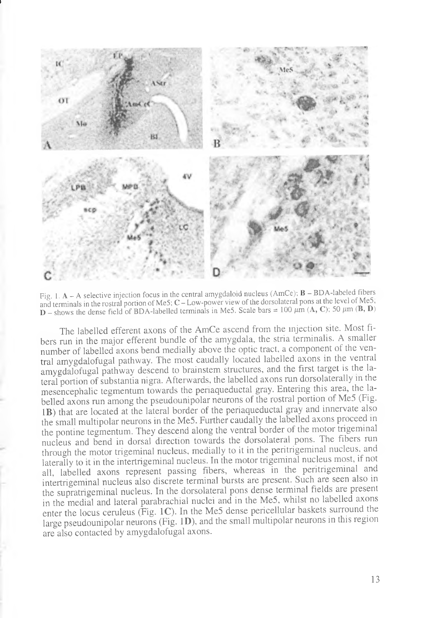

i

Fig. 1.  $A - A$  selective injection focus in the central amygdaloid nucleus (AmCe);  $B - BDA$ -labeled fibers and terminals in the rostral portion of Me5; C-Low-power view of the dorsolateral pons at the level of Me5,  $D$  - shows the dense field of BDA-labelled terminals in Me5. Scale bars = 100  $\mu$ m (A, C); 50  $\mu$ m (B, D)

The labelled efferent axons of the AmCe ascend from the injection site. Most fibers run in the major efferent bundle of the amygdala, the stria terminalis. A smaller number of labelled axons bend medially above the optic tract, a component of the ventral amygdalofugal pathway. The most caudally located labelled axons in the ventral amygdalofugal pathway descend to brainstem structures, and the first target is the lateral portion of substantia nigra. Afterwards, the labelled axons run dorsolaterally in the mesencephalic tegmentum towards the periaqueductal gray. Entering this area, the labelled axons run among the pseudounipolar neurons of the rostral portion of Me5 (Fig. IB) that are located at the lateral border of the periaqueductal gray and innervate also the small multipolar neurons in the Me5. Further caudally the labelled axons proceed in the pontine tegmentum. They descend along the ventral border of the motor trigeminal nucleus and bend in dorsal direction towards the dorsolateral pons. The fibers run through the motor trigeminal nucleus, medially to it in the peritrigeminal nucleus, and laterally to it in the intertrigeminal nucleus. In the motor trigeminal nucleus most, if not all, labelled axons represent passing fibers, whereas in the peritrigeminal and intertrigeminal nucleus also discrete terminal bursts are present. Such are seen also in the supratrigeminal nucleus. In the dorsolateral pons dense terminal fields are present in the medial and lateral parabrachial nuclei and in the Me5, whilst no labelled axons enter the locus ceruleus (Fig. 1C). In the Me5 dense pericellular baskets surround the large pseudounipolar neurons (Fig. ID), and the small multipolar neurons in this region are also contacted by amygdalofugal axons.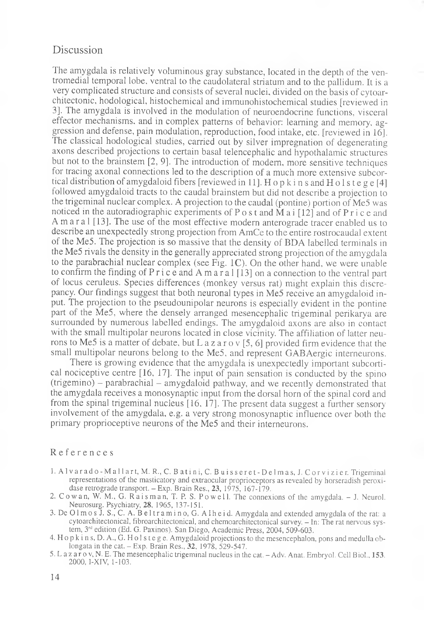### Discussion

The amygdala is relatively voluminous gray substance, located in the depth of the ventromedial temporal lobe, ventral to the caudolateral striatum and to the pallidum. It is a very complicated structure and consists of several nuclei, divided on the basis of cytoarchitectonic, hodological, histochemical and immunohistochemical studies [reviewed in 3]. The amygdala is involved in the modulation of neuroendocrine functions, visceral effector mechanisms, and in complex patterns of behavior: learning and memory, aggression and defense, pain modulation, reproduction, food intake, etc. [reviewed in 16]. The classical hodological studies, carried out by silver impregnation of degenerating axons described projections to certain basal telencephalic and hypothalamic structures but not to the brainstem [2, 9]. The introduction of modem, more sensitive techniques for tracing axonal connections led to the description of a much more extensive subcortical distribution of amygdaloid fibers [reviewed in 11]. H o p k i n s and H o l s t e g e [4] followed amygdaloid tracts to the caudal brainstem but did not describe a projection to the trigeminal nuclear complex. A projection to the caudal (pontine) portion of Me5 was noticed in the autoradiographic experiments of P o s t and M a i [12] and of P r i c e and Amaral [13]. The use of the most effective modern anterograde tracer enabled us to describe an unexpectedly strong projection from AmCe to the entire rostrocaudal extent of the Me5. The projection is so massive that the density of BDA labelled terminals in the Me5 rivals the density in the generally appreciated strong projection of the amygdala to the parabrachial nuclear complex (see Fig. 1C). On the other hand, we were unable to confirm the finding of P r i c e and A m a r a  $\lfloor 13 \rfloor$  on a connection to the ventral part of locus ceruleus. Species differences (monkey versus rat) might explain this discrepancy. Our findings suggest that both neuronal types in Me5 receive an amygdaloid input. The projection to the pseudounipolar neurons is especially evident in the pontine part of the Me5, where the densely arranged mesencephalic trigeminal perikarya are surrounded by numerous labelled endings. The amygdaloid axons are also in contact with the small multipolar neurons located in close vicinity. The affiliation of latter neurons to Me5 is a matter of debate, but L a z a r o v [5, 6] provided firm evidence that the small multipolar neurons belong to the Me5, and represent GABAergic interneurons.

There is growing evidence that the amygdala is unexpectedly important subcortical nociceptive centre [16, 17]. The input of pain sensation is conducted by the spino  $(t$ rigemino) – parabrachial – amygdaloid pathway, and we recently demonstrated that the amygdala receives a monosynaptic input from the dorsal horn of the spinal cord and from the spinal trigeminal nucleus [16. 17]. The present data suggest a further sensory involvement of the amygdala, e.g. a very strong monosynaptic influence over both the primary proprioceptive neurons of the Me5 and their interneurons.

#### References

- 1. A l v a r a d o M a l l a r t, M. R., C. B at i n i, C. B u i s s e r e t D e l m a s, J. C or v i z i e r. Trigeminal representations of the masticatory and extraocular proprioceptors as revealed by horseradish peroxidase retrograde transport. - Exp. Brain Res., 23, 1975, 167-179.
- 2. Cowan, W. M., G. Raisman, T. P. S. Powell. The connexions of the amygdala. J. Neurol. Neurosurg. Psychiatry, 28, 1965, 137-151.
- 3. De 0 1 m o s J. S., C. A. B el trami no, G. A lhe i d. Amygdala and extended amygdala of the rat: a cytoarchitectonical, fibroarchitectonical, and chemoarchitectonical survey. - In: The rat nervous system, 3<sup>rd</sup> edition (Ed. G. Paxinos). San Diego, Academic Press, 2004, 509-603.
- 4. Hopkins, D.A.,G. Holstege. Amygdaloid projections to the mesencephalon, pons and medulla oblongata in the cat. - Exp. Brain Res., 32, 1978, 529-547.
- 5. L az ar o v, N. E. The mesencephalic trigeminal nucleus in the cat. Adv. Anat. Embryol. Cell Biol., 153. 2000, I-XIV, 1-103.